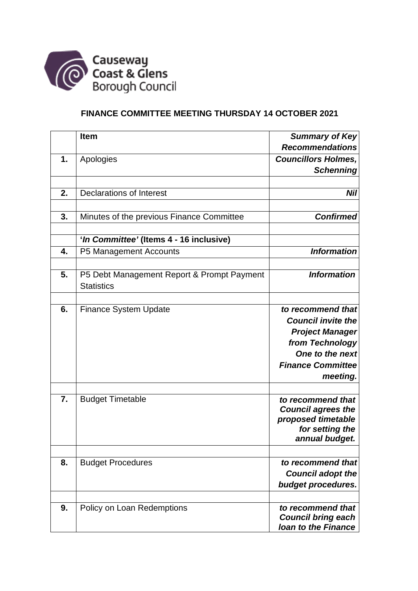

## **FINANCE COMMITTEE MEETING THURSDAY 14 OCTOBER 2021**

|    | <b>Item</b>                                                     | <b>Summary of Key</b>                           |
|----|-----------------------------------------------------------------|-------------------------------------------------|
|    |                                                                 | <b>Recommendations</b>                          |
| 1. | Apologies                                                       | <b>Councillors Holmes,</b>                      |
|    |                                                                 | <b>Schenning</b>                                |
|    |                                                                 |                                                 |
| 2. | <b>Declarations of Interest</b>                                 | <b>Nil</b>                                      |
|    |                                                                 |                                                 |
| 3. | Minutes of the previous Finance Committee                       | <b>Confirmed</b>                                |
|    |                                                                 |                                                 |
|    | 'In Committee' (Items 4 - 16 inclusive)                         |                                                 |
| 4. | P5 Management Accounts                                          | <b>Information</b>                              |
|    |                                                                 |                                                 |
| 5. | P5 Debt Management Report & Prompt Payment<br><b>Statistics</b> | <b>Information</b>                              |
|    |                                                                 |                                                 |
| 6. | <b>Finance System Update</b>                                    | to recommend that                               |
|    |                                                                 | <b>Council invite the</b>                       |
|    |                                                                 | <b>Project Manager</b>                          |
|    |                                                                 | from Technology                                 |
|    |                                                                 | One to the next                                 |
|    |                                                                 | <b>Finance Committee</b>                        |
|    |                                                                 | meeting.                                        |
|    |                                                                 |                                                 |
| 7. | <b>Budget Timetable</b>                                         | to recommend that                               |
|    |                                                                 | <b>Council agrees the</b><br>proposed timetable |
|    |                                                                 | for setting the                                 |
|    |                                                                 | annual budget.                                  |
|    |                                                                 |                                                 |
| 8. | <b>Budget Procedures</b>                                        | to recommend that                               |
|    |                                                                 | <b>Council adopt the</b>                        |
|    |                                                                 | budget procedures.                              |
|    |                                                                 |                                                 |
| 9. | Policy on Loan Redemptions                                      | to recommend that<br><b>Council bring each</b>  |
|    |                                                                 | <b>Ioan to the Finance</b>                      |